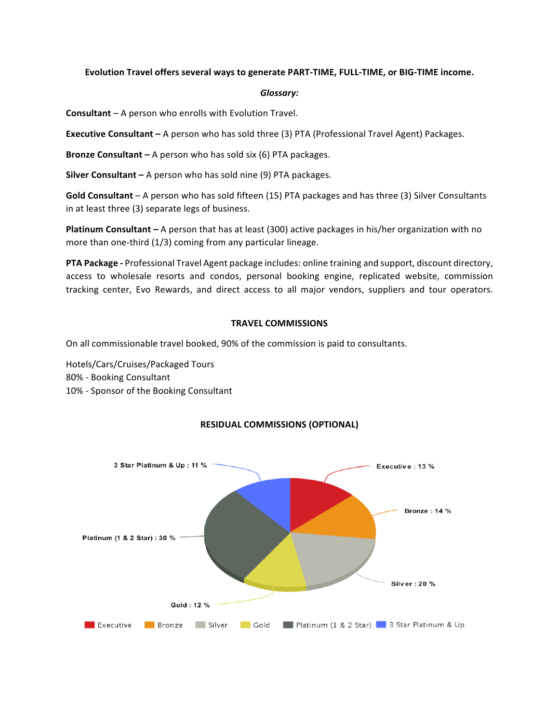### Evolution Travel offers several ways to generate PART-TIME, FULL-TIME, or BIG-TIME income.

#### *Glossary:*

**Consultant** – A person who enrolls with Evolution Travel.

**Executive Consultant** – A person who has sold three (3) PTA (Professional Travel Agent) Packages.

**Bronze Consultant** – A person who has sold six (6) PTA packages.

**Silver Consultant** – A person who has sold nine (9) PTA packages.

Gold Consultant – A person who has sold fifteen (15) PTA packages and has three (3) Silver Consultants in at least three (3) separate legs of business.

**Platinum Consultant** – A person that has at least (300) active packages in his/her organization with no more than one-third  $(1/3)$  coming from any particular lineage.

**PTA** Package - Professional Travel Agent package includes: online training and support, discount directory, access to wholesale resorts and condos, personal booking engine, replicated website, commission tracking center, Evo Rewards, and direct access to all major vendors, suppliers and tour operators.

### **TRAVEL COMMISSIONS**

On all commissionable travel booked, 90% of the commission is paid to consultants.

Hotels/Cars/Cruises/Packaged Tours 80% - Booking Consultant 10% - Sponsor of the Booking Consultant



# **RESIDUAL COMMISSIONS (OPTIONAL)**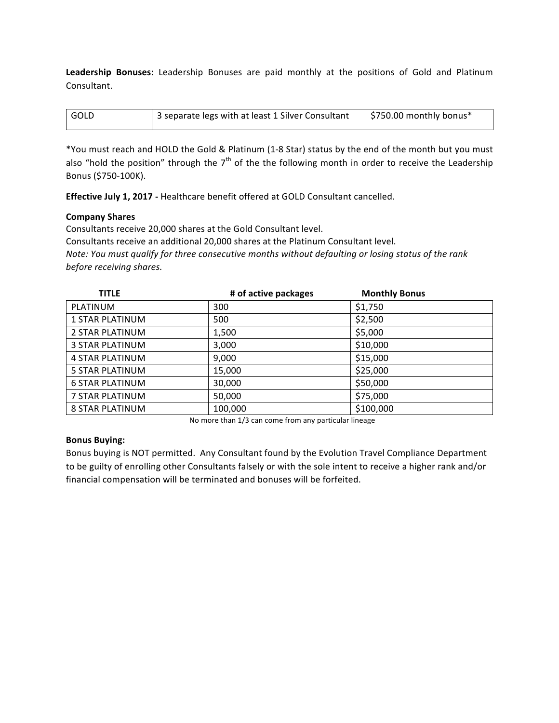Leadership Bonuses: Leadership Bonuses are paid monthly at the positions of Gold and Platinum Consultant.

| l GOLD | 3 separate legs with at least 1 Silver Consultant | $\frac{1}{2}$ \$750.00 monthly bonus* |
|--------|---------------------------------------------------|---------------------------------------|
|        |                                                   |                                       |

\*You must reach and HOLD the Gold & Platinum (1-8 Star) status by the end of the month but you must also "hold the position" through the  $7<sup>th</sup>$  of the the following month in order to receive the Leadership Bonus (\$750-100K).

**Effective July 1, 2017 - Healthcare benefit offered at GOLD Consultant cancelled.** 

## **Company Shares**

Consultants receive 20,000 shares at the Gold Consultant level.

Consultants receive an additional 20,000 shares at the Platinum Consultant level.

*Note: You must qualify for three consecutive months without defaulting or losing status of the rank before receiving shares.* 

| <b>TITLE</b>           | # of active packages | <b>Monthly Bonus</b> |
|------------------------|----------------------|----------------------|
| PLATINUM               | 300                  | \$1,750              |
| <b>1 STAR PLATINUM</b> | 500                  | \$2,500              |
| 2 STAR PLATINUM        | 1,500                | \$5,000              |
| <b>3 STAR PLATINUM</b> | 3,000                | \$10,000             |
| <b>4 STAR PLATINUM</b> | 9,000                | \$15,000             |
| 5 STAR PLATINUM        | 15,000               | \$25,000             |
| <b>6 STAR PLATINUM</b> | 30,000               | \$50,000             |
| 7 STAR PLATINUM        | 50,000               | \$75,000             |
| <b>8 STAR PLATINUM</b> | 100,000              | \$100,000            |

No more than 1/3 can come from any particular lineage

## **Bonus Buying:**

Bonus buying is NOT permitted. Any Consultant found by the Evolution Travel Compliance Department to be guilty of enrolling other Consultants falsely or with the sole intent to receive a higher rank and/or financial compensation will be terminated and bonuses will be forfeited.